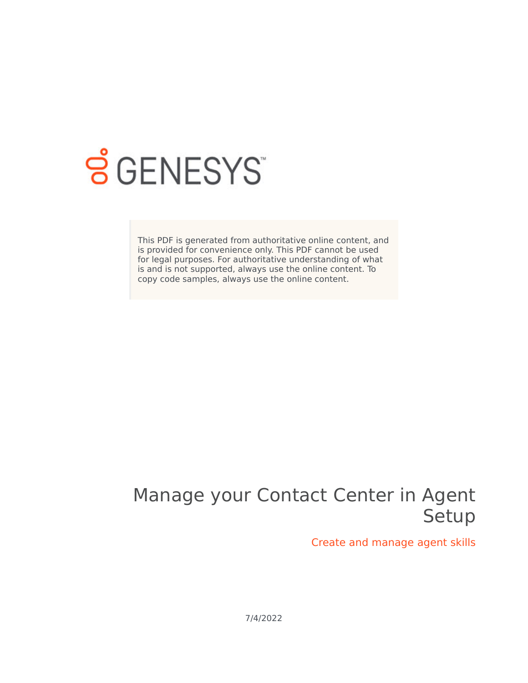

# **SGENESYS**

This PDF is generated from authoritative online content, and is provided for convenience only. This PDF cannot be used for legal purposes. For authoritative understanding of what is and is not supported, always use the online content. To copy code samples, always use the online content.

## Manage your Contact Center in Agent Setup

Create and manage agent skills

7/4/2022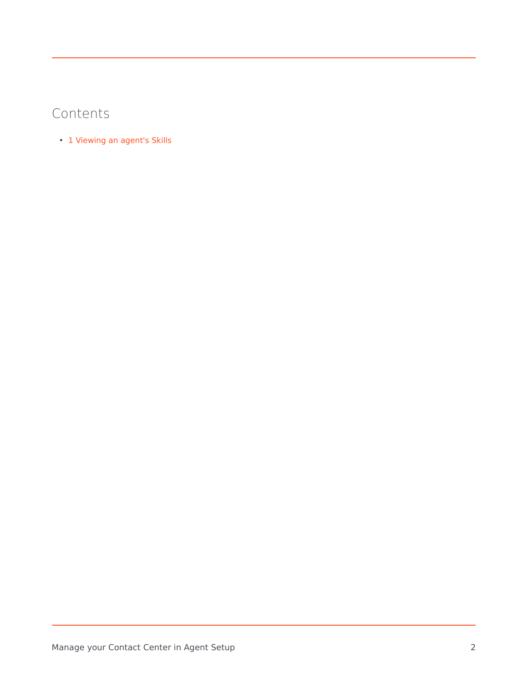#### Contents

• 1 [Viewing an agent's Skills](#page-3-0)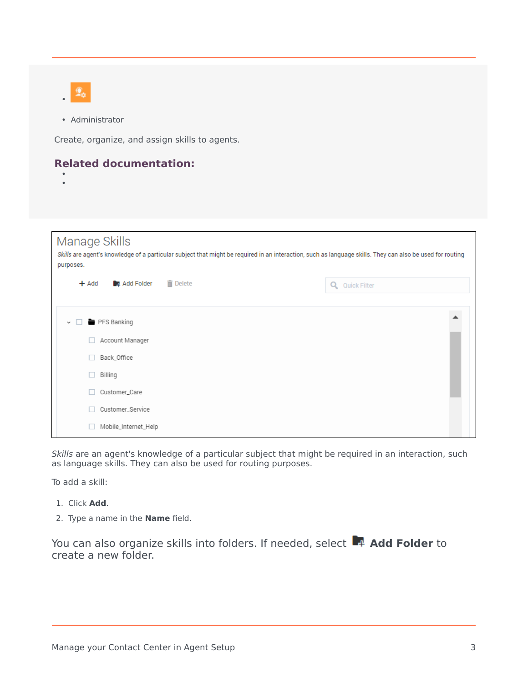

• Administrator

Create, organize, and assign skills to agents.

#### **Related documentation:**

• •

| Manage Skills<br>Skills are agent's knowledge of a particular subject that might be required in an interaction, such as language skills. They can also be used for routing<br>purposes. |                          |  |  |  |  |  |  |
|-----------------------------------------------------------------------------------------------------------------------------------------------------------------------------------------|--------------------------|--|--|--|--|--|--|
| <b>而</b> Delete<br>Add Folder<br>$+$ Add                                                                                                                                                | <b>Quick Filter</b><br>Q |  |  |  |  |  |  |
| PFS Banking<br>$\vee$<br>Account Manager                                                                                                                                                |                          |  |  |  |  |  |  |
| Back_Office<br>п                                                                                                                                                                        |                          |  |  |  |  |  |  |
| Billing<br>H                                                                                                                                                                            |                          |  |  |  |  |  |  |
| Customer_Care                                                                                                                                                                           |                          |  |  |  |  |  |  |
| Customer_Service                                                                                                                                                                        |                          |  |  |  |  |  |  |
| Mobile_Internet_Help                                                                                                                                                                    |                          |  |  |  |  |  |  |

*Skills* are an agent's knowledge of a particular subject that might be required in an interaction, such as language skills. They can also be used for routing purposes.

To add a skill:

- 1. Click **Add**.
- 2. Type a name in the **Name** field.

You can also organize skills into folders. If needed, select **Add Folder** to create a new folder.